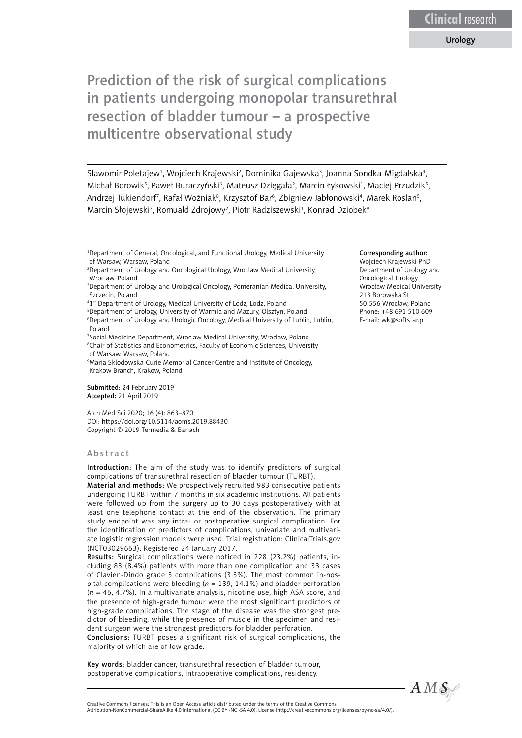# Urology

Prediction of the risk of surgical complications in patients undergoing monopolar transurethral resection of bladder tumour – a prospective multicentre observational study

Sławomir Poletajew<sup>1</sup>, Wojciech Krajewski<sup>2</sup>, Dominika Gajewska<sup>3</sup>, Joanna Sondka-Migdalska<sup>4</sup>, Michał Borowik<sup>5</sup>, Paweł Buraczyński<sup>6</sup>, Mateusz Dzięgała<sup>2</sup>, Marcin Łykowski<sup>1</sup>, Maciej Przudzik<sup>5</sup>, Andrzej Tukiendorf<sup>7</sup>, Rafał Woźniak<sup>8</sup>, Krzysztof Bar<sup>6</sup>, Zbigniew Jabłonowski<sup>4</sup>, Marek Roslan<sup>5</sup>, Marcin Słojewski<sup>3</sup>, Romuald Zdrojowy<sup>2</sup>, Piotr Radziszewski<sup>1</sup>, Konrad Dziobek<sup>9</sup>

1 Department of General, Oncological, and Functional Urology, Medical University of Warsaw, Warsaw, Poland

2 Department of Urology and Oncological Urology, Wroclaw Medical University, Wroclaw, Poland

3 Department of Urology and Urological Oncology, Pomeranian Medical University, Szczecin, Poland

4 1st Department of Urology, Medical University of Lodz, Lodz, Poland

5 Department of Urology, University of Warmia and Mazury, Olsztyn, Poland 6 Department of Urology and Urologic Oncology, Medical University of Lublin, Lublin, Poland

7 Social Medicine Department, Wroclaw Medical University, Wroclaw, Poland 8 Chair of Statistics and Econometrics, Faculty of Economic Sciences, University of Warsaw, Warsaw, Poland

9 Maria Sklodowska-Curie Memorial Cancer Centre and Institute of Oncology, Krakow Branch, Krakow, Poland

Submitted: 24 February 2019 Accepted: 21 April 2019

Arch Med Sci 2020; 16 (4): 863–870 DOI: https://doi.org/10.5114/aoms.2019.88430 Copyright © 2019 Termedia & Banach

#### Abstract

Introduction: The aim of the study was to identify predictors of surgical complications of transurethral resection of bladder tumour (TURBT).

Material and methods: We prospectively recruited 983 consecutive patients undergoing TURBT within 7 months in six academic institutions. All patients were followed up from the surgery up to 30 days postoperatively with at least one telephone contact at the end of the observation. The primary study endpoint was any intra- or postoperative surgical complication. For the identification of predictors of complications, univariate and multivariate logistic regression models were used. Trial registration: ClinicalTrials.gov (NCT03029663). Registered 24 January 2017.

Results: Surgical complications were noticed in 228 (23.2%) patients, including 83 (8.4%) patients with more than one complication and 33 cases of Clavien-Dindo grade 3 complications (3.3%). The most common in-hospital complications were bleeding (*n* = 139, 14.1%) and bladder perforation (*n* = 46, 4.7%). In a multivariate analysis, nicotine use, high ASA score, and the presence of high-grade tumour were the most significant predictors of high-grade complications. The stage of the disease was the strongest predictor of bleeding, while the presence of muscle in the specimen and resident surgeon were the strongest predictors for bladder perforation.

Conclusions: TURBT poses a significant risk of surgical complications, the majority of which are of low grade.

Key words: bladder cancer, transurethral resection of bladder tumour, postoperative complications, intraoperative complications, residency.

Creative Commons licenses: This is an Open Access article distributed under the terms of the Creative Commons

Attribution-NonCommercial-ShareAlike 4.0 International (CC BY -NC -SA 4.0). License (http://creativecommons.org/licenses/by-nc-sa/4.0/).

#### Corresponding author:

Wojciech Krajewski PhD Department of Urology and Oncological Urology Wrocław Medical University 213 Borowska St 50-556 Wrocław, Poland Phone: +48 691 510 609 E-mail: [wk@softstar.pl](mailto:wk@softstar.pl)

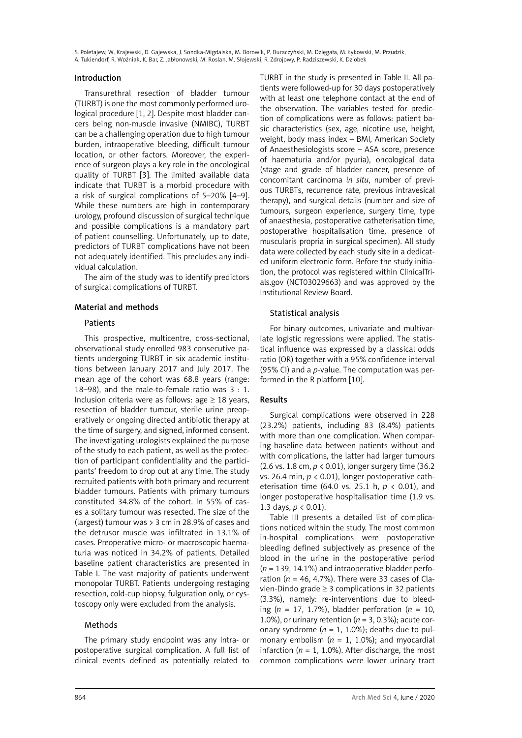S. Poletajew, W. Krajewski, D. Gajewska, J. Sondka-Migdalska, M. Borowik, P. Buraczyński, M. Dzięgała, M. Łykowski, M. Przudzik, A. Tukiendorf, R. Woźniak, K. Bar, Z. Jabłonowski, M. Roslan, M. Słojewski, R. Zdrojowy, P. Radziszewski, K. Dziobek

#### Introduction

Transurethral resection of bladder tumour (TURBT) is one the most commonly performed urological procedure [1, 2]. Despite most bladder cancers being non-muscle invasive (NMIBC), TURBT can be a challenging operation due to high tumour burden, intraoperative bleeding, difficult tumour location, or other factors. Moreover, the experience of surgeon plays a key role in the oncological quality of TURBT [3]. The limited available data indicate that TURBT is a morbid procedure with a risk of surgical complications of 5–20% [4–9]. While these numbers are high in contemporary urology, profound discussion of surgical technique and possible complications is a mandatory part of patient counselling. Unfortunately, up to date, predictors of TURBT complications have not been not adequately identified. This precludes any individual calculation.

The aim of the study was to identify predictors of surgical complications of TURBT.

#### Material and methods

#### **Patients**

This prospective, multicentre, cross-sectional, observational study enrolled 983 consecutive patients undergoing TURBT in six academic institutions between January 2017 and July 2017. The mean age of the cohort was 68.8 years (range: 18–98), and the male-to-female ratio was 3 : 1. Inclusion criteria were as follows:  $\alpha$ ge  $\geq 18$  vears, resection of bladder tumour, sterile urine preoperatively or ongoing directed antibiotic therapy at the time of surgery, and signed, informed consent. The investigating urologists explained the purpose of the study to each patient, as well as the protection of participant confidentiality and the participants' freedom to drop out at any time. The study recruited patients with both primary and recurrent bladder tumours. Patients with primary tumours constituted 34.8% of the cohort. In 55% of cases a solitary tumour was resected. The size of the (largest) tumour was > 3 cm in 28.9% of cases and the detrusor muscle was infiltrated in 13.1% of cases. Preoperative micro- or macroscopic haematuria was noticed in 34.2% of patients. Detailed baseline patient characteristics are presented in Table I. The vast majority of patients underwent monopolar TURBT. Patients undergoing restaging resection, cold-cup biopsy, fulguration only, or cystoscopy only were excluded from the analysis.

# Methods

The primary study endpoint was any intra- or postoperative surgical complication. A full list of clinical events defined as potentially related to

TURBT in the study is presented in Table II. All patients were followed-up for 30 days postoperatively with at least one telephone contact at the end of the observation. The variables tested for prediction of complications were as follows: patient basic characteristics (sex, age, nicotine use, height, weight, body mass index – BMI, American Society of Anaesthesiologists score – ASA score, presence of haematuria and/or pyuria), oncological data (stage and grade of bladder cancer, presence of concomitant carcinoma *in situ*, number of previous TURBTs, recurrence rate, previous intravesical therapy), and surgical details (number and size of tumours, surgeon experience, surgery time, type of anaesthesia, postoperative catheterisation time, postoperative hospitalisation time, presence of muscularis propria in surgical specimen). All study data were collected by each study site in a dedicated uniform electronic form. Before the study initiation, the protocol was registered within ClinicalTrials.gov (NCT03029663) and was approved by the Institutional Review Board.

# Statistical analysis

For binary outcomes, univariate and multivariate logistic regressions were applied. The statistical influence was expressed by a classical odds ratio (OR) together with a 95% confidence interval (95% CI) and a *p*-value. The computation was performed in the R platform [10].

# Results

Surgical complications were observed in 228 (23.2%) patients, including 83 (8.4%) patients with more than one complication. When comparing baseline data between patients without and with complications, the latter had larger tumours (2.6 vs. 1.8 cm, *p* < 0.01), longer surgery time (36.2 vs. 26.4 min,  $p < 0.01$ ), longer postoperative catheterisation time (64.0 vs. 25.1 h, *p* < 0.01), and longer postoperative hospitalisation time (1.9 vs. 1.3 days, *p* < 0.01).

Table III presents a detailed list of complications noticed within the study. The most common in-hospital complications were postoperative bleeding defined subjectively as presence of the blood in the urine in the postoperative period (*n* = 139, 14.1%) and intraoperative bladder perforation ( $n = 46, 4.7\%$ ). There were 33 cases of Clavien-Dindo grade ≥ 3 complications in 32 patients (3.3%), namely: re-interventions due to bleeding ( $n = 17, 1.7\%$ ), bladder perforation ( $n = 10$ , 1.0%), or urinary retention  $(n = 3, 0.3\%)$ ; acute coronary syndrome  $(n = 1, 1.0\%)$ ; deaths due to pulmonary embolism  $(n = 1, 1.0\%)$ ; and myocardial infarction ( $n = 1, 1.0\%$ ). After discharge, the most common complications were lower urinary tract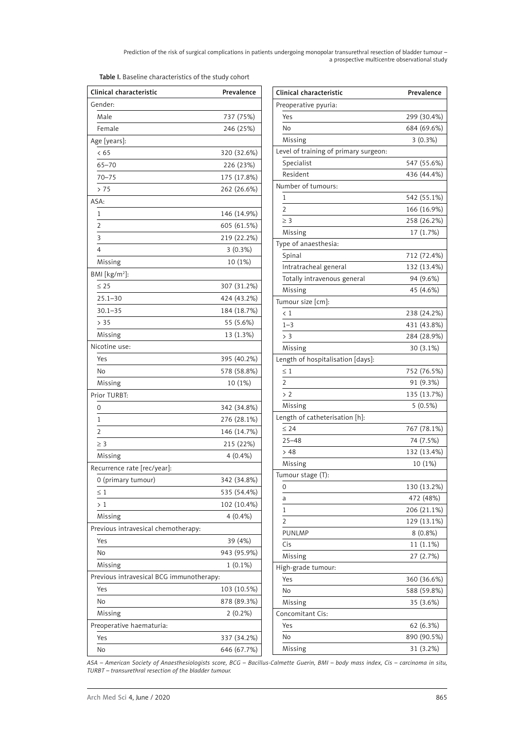Prediction of the risk of surgical complications in patients undergoing monopolar transurethral resection of bladder tumour – a prospective multicentre observational study

| Clinical characteristic                  | Prevalence  | Clinical chara            |
|------------------------------------------|-------------|---------------------------|
| Gender:                                  |             | Preoperative              |
| Male                                     | 737 (75%)   | Yes                       |
| Female                                   | 246 (25%)   | No                        |
| Age [years]:                             |             | Missing                   |
| < 65                                     | 320 (32.6%) | Level of train            |
| $65 - 70$                                | 226 (23%)   | Specialist                |
| $70 - 75$                                | 175 (17.8%) | Resident                  |
| > 75                                     | 262 (26.6%) | Number of tu              |
| ASA:                                     |             | 1                         |
| 1                                        | 146 (14.9%) | $\overline{2}$            |
| $\overline{2}$                           | 605 (61.5%) | $\geq 3$                  |
| 3                                        | 219 (22.2%) | Missing                   |
| 4                                        | 3(0.3%)     | Type of anae:             |
| Missing                                  | 10 (1%)     | Spinal                    |
| BMI [kg/m <sup>2</sup> ]:                |             | Intratrache               |
| $\leq 25$                                | 307 (31.2%) | Totally intra             |
| $25.1 - 30$                              | 424 (43.2%) | Missing                   |
| $30.1 - 35$                              | 184 (18.7%) | Tumour size [             |
| > 35                                     | 55 (5.6%)   | < 1                       |
| Missing                                  | 13 (1.3%)   | $1 - 3$                   |
| Nicotine use:                            |             | > 3                       |
| Yes                                      |             | Missing                   |
| No                                       | 395 (40.2%) | Length of hos<br>$\leq 1$ |
|                                          | 578 (58.8%) | $\overline{2}$            |
| Missing                                  | 10 (1%)     | > 2                       |
| Prior TURBT:                             |             | Missing                   |
| 0                                        | 342 (34.8%) | Length of cat             |
| 1                                        | 276 (28.1%) | $\leq 24$                 |
| $\overline{2}$                           | 146 (14.7%) | $25 - 48$                 |
| $\geq 3$                                 | 215 (22%)   | >48                       |
| Missing                                  | 4(0.4%      | Missing                   |
| Recurrence rate [rec/year]:              |             | Tumour stage              |
| 0 (primary tumour)                       | 342 (34.8%) | 0                         |
| $\leq 1$                                 | 535 (54.4%) | a                         |
| >1                                       | 102 (10.4%) | 1                         |
| Missing                                  | $4(0.4\%)$  | 2                         |
| Previous intravesical chemotherapy:      |             | <b>PUNLMP</b>             |
| Yes                                      | 39 (4%)     | Cis                       |
| No                                       | 943 (95.9%) | Missing                   |
| Missing                                  | $1(0.1\%)$  | High-grade tu             |
| Previous intravesical BCG immunotherapy: |             | Yes                       |
| Yes                                      | 103 (10.5%) | No                        |
| No                                       | 878 (89.3%) | Missing                   |
| Missing                                  | $2(0.2\%)$  | Concomitant               |
| Preoperative haematuria:                 |             | Yes                       |
| Yes                                      | 337 (34.2%) | No                        |
| No                                       | 646 (67.7%) | Missing                   |

| Clinical characteristic               | Prevalence  |
|---------------------------------------|-------------|
| Preoperative pyuria:                  |             |
| Yes                                   | 299 (30.4%) |
| No                                    | 684 (69.6%) |
| Missing                               | 3(0.3%)     |
| Level of training of primary surgeon: |             |
| Specialist                            | 547 (55.6%) |
| Resident                              | 436 (44.4%) |
| Number of tumours:                    |             |
| 1                                     | 542 (55.1%) |
| $\overline{2}$                        | 166 (16.9%) |
| $\geq$ 3                              | 258 (26.2%) |
| Missing                               | 17 (1.7%)   |
| Type of anaesthesia:                  |             |
| Spinal                                | 712 (72.4%) |
| Intratracheal general                 | 132 (13.4%) |
| Totally intravenous general           | 94 (9.6%)   |
| Missing                               | 45 (4.6%)   |
| Tumour size [cm]:                     |             |
| $\langle 1$                           | 238 (24.2%) |
| $1 - 3$                               | 431 (43.8%) |
| > 3                                   | 284 (28.9%) |
| Missing                               | 30 (3.1%)   |
|                                       |             |
| Length of hospitalisation [days]:     |             |
| $\leq 1$<br>$\overline{2}$            | 752 (76.5%) |
|                                       | 91 (9.3%)   |
| > 2                                   | 135 (13.7%) |
| Missing                               | $5(0.5\%)$  |
| Length of catheterisation [h]:        |             |
| $\leq 24$                             | 767 (78.1%) |
| $25 - 48$                             | 74 (7.5%)   |
| >48                                   | 132 (13.4%) |
| Missing                               | 10 (1%)     |
| Tumour stage (T):                     |             |
| 0                                     | 130 (13.2%) |
| а                                     | 472 (48%)   |
| 1                                     | 206 (21.1%) |
| 2                                     | 129 (13.1%) |
| PUNLMP                                | $8(0.8\%)$  |
| Cis                                   | 11 (1.1%)   |
| Missing                               | 27 (2.7%)   |
| High-grade tumour:                    |             |
| Yes                                   | 360 (36.6%) |
| No                                    | 588 (59.8%) |
| Missing                               | 35 (3.6%)   |
| Concomitant Cis:                      |             |
| Yes                                   | 62 (6.3%)   |
| No                                    | 890 (90.5%) |
| Missing                               | 31 (3.2%)   |

*ASA – American Society of Anaesthesiologists score, BCG – Bacillus-Calmette Guerin, BMI – body mass index, Cis – carcinoma in situ, TURBT – transurethral resection of the bladder tumour.*

٦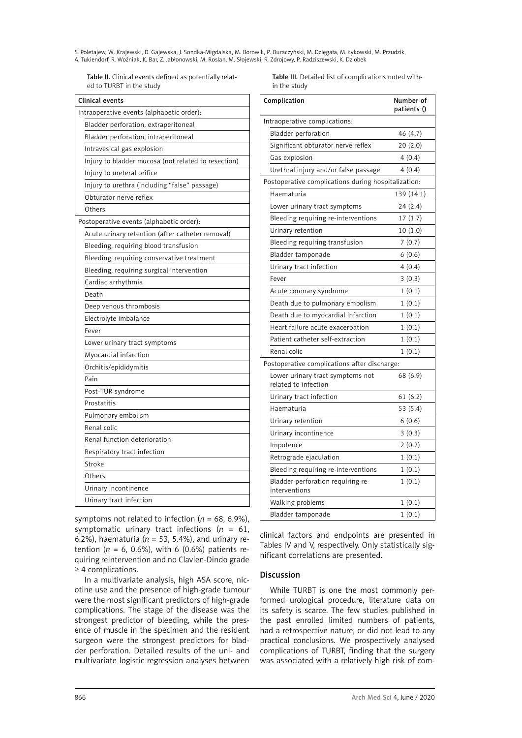S. Poletajew, W. Krajewski, D. Gajewska, J. Sondka-Migdalska, M. Borowik, P. Buraczyński, M. Dzięgała, M. Łykowski, M. Przudzik, A. Tukiendorf, R. Woźniak, K. Bar, Z. Jabłonowski, M. Roslan, M. Słojewski, R. Zdrojowy, P. Radziszewski, K. Dziobek

Table II. Clinical events defined as potentially related to TURBT in the study

| Clinical events                                     |
|-----------------------------------------------------|
| Intraoperative events (alphabetic order):           |
| Bladder perforation, extraperitoneal                |
| Bladder perforation, intraperitoneal                |
| Intravesical gas explosion                          |
| Injury to bladder mucosa (not related to resection) |
| Injury to ureteral orifice                          |
| Injury to urethra (including "false" passage)       |
| Obturator nerve reflex                              |
| Others                                              |
| Postoperative events (alphabetic order):            |
| Acute urinary retention (after catheter removal)    |
| Bleeding, requiring blood transfusion               |
| Bleeding, requiring conservative treatment          |
| Bleeding, requiring surgical intervention           |
| Cardiac arrhythmia                                  |
| Death                                               |
| Deep venous thrombosis                              |
| Electrolyte imbalance                               |
| Fever                                               |
| Lower urinary tract symptoms                        |
| Myocardial infarction                               |
| Orchitis/epididymitis                               |
| Pain                                                |
| Post-TUR syndrome                                   |
| Prostatitis                                         |
| Pulmonary embolism                                  |
| Renal colic                                         |
| Renal function deterioration                        |
| Respiratory tract infection                         |
| Stroke                                              |
| Others                                              |
| Urinary incontinence                                |
| Urinary tract infection                             |

Table III. Detailed list of complications noted within the study

| Complication                                             | Number of<br>patients () |
|----------------------------------------------------------|--------------------------|
| Intraoperative complications:                            |                          |
| Bladder perforation                                      | 46 (4.7)                 |
| Significant obturator nerve reflex                       | 20(2.0)                  |
| Gas explosion                                            | 4(0.4)                   |
| Urethral injury and/or false passage                     | 4(0.4)                   |
| Postoperative complications during hospitalization:      |                          |
| Haematuria                                               | 139 (14.1)               |
| Lower urinary tract symptoms                             | 24(2.4)                  |
| Bleeding requiring re-interventions                      | 17(1.7)                  |
| Urinary retention                                        | 10(1.0)                  |
| Bleeding requiring transfusion                           | 7(0.7)                   |
| Bladder tamponade                                        | 6(0.6)                   |
| Urinary tract infection                                  | 4(0.4)                   |
| Fever                                                    | 3(0.3)                   |
| Acute coronary syndrome                                  | 1(0.1)                   |
| Death due to pulmonary embolism                          | 1(0.1)                   |
| Death due to myocardial infarction                       | 1(0.1)                   |
| Heart failure acute exacerbation                         | 1(0.1)                   |
| Patient catheter self-extraction                         | 1(0.1)                   |
| Renal colic                                              | 1(0.1)                   |
| Postoperative complications after discharge:             |                          |
| Lower urinary tract symptoms not<br>related to infection | 68 (6.9)                 |
| Urinary tract infection                                  | 61(6.2)                  |
| Haematuria                                               | 53 (5.4)                 |
| Urinary retention                                        | 6(0.6)                   |
| Urinary incontinence                                     | 3(0.3)                   |
| Impotence                                                | 2(0.2)                   |
| Retrograde ejaculation                                   | 1(0.1)                   |
| Bleeding requiring re-interventions                      | 1(0.1)                   |
| Bladder perforation requiring re-<br>interventions       | 1(0.1)                   |
| Walking problems                                         | 1(0.1)                   |
| Bladder tamponade                                        | 1(0.1)                   |

symptoms not related to infection ( $n = 68, 6.9\%$ ), symptomatic urinary tract infections (*n* = 61, 6.2%), haematuria ( $n = 53$ , 5.4%), and urinary retention ( $n = 6$ , 0.6%), with 6 (0.6%) patients requiring reintervention and no Clavien-Dindo grade ≥ 4 complications.

In a multivariate analysis, high ASA score, nicotine use and the presence of high-grade tumour were the most significant predictors of high-grade complications. The stage of the disease was the strongest predictor of bleeding, while the presence of muscle in the specimen and the resident surgeon were the strongest predictors for bladder perforation. Detailed results of the uni- and multivariate logistic regression analyses between

clinical factors and endpoints are presented in Tables IV and V, respectively. Only statistically significant correlations are presented.

# Discussion

While TURBT is one the most commonly performed urological procedure, literature data on its safety is scarce. The few studies published in the past enrolled limited numbers of patients, had a retrospective nature, or did not lead to any practical conclusions. We prospectively analysed complications of TURBT, finding that the surgery was associated with a relatively high risk of com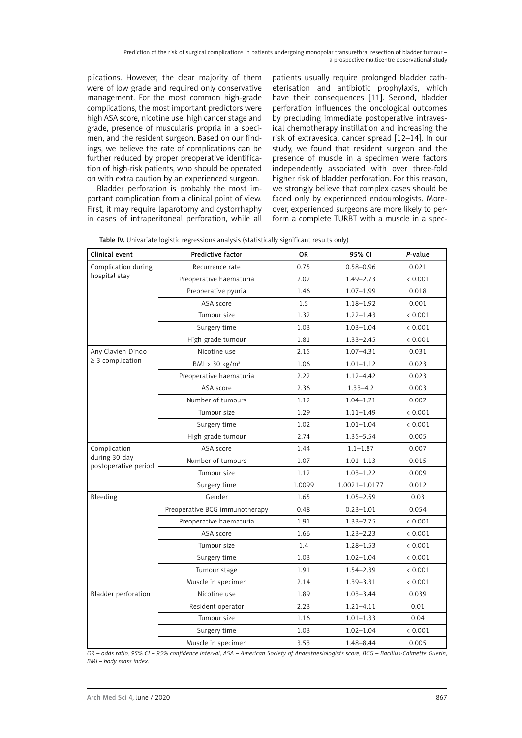Prediction of the risk of surgical complications in patients undergoing monopolar transurethral resection of bladder tumour – a prospective multicentre observational study

plications. However, the clear majority of them were of low grade and required only conservative management. For the most common high-grade complications, the most important predictors were high ASA score, nicotine use, high cancer stage and grade, presence of muscularis propria in a specimen, and the resident surgeon. Based on our findings, we believe the rate of complications can be further reduced by proper preoperative identification of high-risk patients, who should be operated on with extra caution by an experienced surgeon.

Bladder perforation is probably the most important complication from a clinical point of view. First, it may require laparotomy and cystorrhaphy in cases of intraperitoneal perforation, while all

patients usually require prolonged bladder catheterisation and antibiotic prophylaxis, which have their consequences [11]. Second, bladder perforation influences the oncological outcomes by precluding immediate postoperative intravesical chemotherapy instillation and increasing the risk of extravesical cancer spread [12–14]. In our study, we found that resident surgeon and the presence of muscle in a specimen were factors independently associated with over three-fold higher risk of bladder perforation. For this reason, we strongly believe that complex cases should be faced only by experienced endourologists. Moreover, experienced surgeons are more likely to perform a complete TURBT with a muscle in a spec-

|  |  |  |  |  |  |  | Table IV. Univariate logistic regressions analysis (statistically significant results only) |
|--|--|--|--|--|--|--|---------------------------------------------------------------------------------------------|
|--|--|--|--|--|--|--|---------------------------------------------------------------------------------------------|

| Clinical event                        | Predictive factor              | <b>OR</b> | 95% CI        | P-value |
|---------------------------------------|--------------------------------|-----------|---------------|---------|
| Complication during                   | Recurrence rate                | 0.75      | $0.58 - 0.96$ | 0.021   |
| hospital stay                         | Preoperative haematuria        | 2.02      | 1.49-2.73     | < 0.001 |
|                                       | Preoperative pyuria            | 1.46      | $1.07 - 1.99$ | 0.018   |
|                                       | ASA score                      | 1.5       | $1.18 - 1.92$ | 0.001   |
|                                       | Tumour size                    | 1.32      | $1.22 - 1.43$ | < 0.001 |
|                                       | Surgery time                   | 1.03      | $1.03 - 1.04$ | < 0.001 |
|                                       | High-grade tumour              | 1.81      | $1.33 - 2.45$ | < 0.001 |
| Any Clavien-Dindo                     | Nicotine use                   | 2.15      | 1.07-4.31     | 0.031   |
| $\geq$ 3 complication                 | $BMI > 30$ kg/m <sup>2</sup>   | 1.06      | $1.01 - 1.12$ | 0.023   |
|                                       | Preoperative haematuria        | 2.22      | $1.12 - 4.42$ | 0.023   |
|                                       | ASA score                      | 2.36      | $1.33 - 4.2$  | 0.003   |
|                                       | Number of tumours              | 1.12      | $1.04 - 1.21$ | 0.002   |
|                                       | Tumour size                    | 1.29      | $1.11 - 1.49$ | < 0.001 |
|                                       | Surgery time                   | 1.02      | $1.01 - 1.04$ | < 0.001 |
|                                       | High-grade tumour              | 2.74      | 1.35-5.54     | 0.005   |
| Complication                          | ASA score                      | 1.44      | $1.1 - 1.87$  | 0.007   |
| during 30-day<br>postoperative period | Number of tumours              | 1.07      | $1.01 - 1.13$ | 0.015   |
|                                       | Tumour size                    | 1.12      | $1.03 - 1.22$ | 0.009   |
|                                       | Surgery time                   | 1.0099    | 1.0021-1.0177 | 0.012   |
| Bleeding                              | Gender                         | 1.65      | $1.05 - 2.59$ | 0.03    |
|                                       | Preoperative BCG immunotherapy | 0.48      | $0.23 - 1.01$ | 0.054   |
|                                       | Preoperative haematuria        | 1.91      | $1.33 - 2.75$ | < 0.001 |
|                                       | ASA score                      | 1.66      | $1.23 - 2.23$ | < 0.001 |
|                                       | Tumour size                    | 1.4       | $1.28 - 1.53$ | < 0.001 |
|                                       | Surgery time                   | 1.03      | $1.02 - 1.04$ | < 0.001 |
|                                       | Tumour stage                   | 1.91      | $1.54 - 2.39$ | < 0.001 |
|                                       | Muscle in specimen             | 2.14      | $1.39 - 3.31$ | < 0.001 |
| <b>Bladder perforation</b>            | Nicotine use                   | 1.89      | $1.03 - 3.44$ | 0.039   |
|                                       | Resident operator              | 2.23      | $1.21 - 4.11$ | 0.01    |
|                                       | Tumour size                    | 1.16      | $1.01 - 1.33$ | 0.04    |
|                                       | Surgery time                   | 1.03      | $1.02 - 1.04$ | < 0.001 |
|                                       | Muscle in specimen             | 3.53      | 1.48-8.44     | 0.005   |

*OR – odds ratio, 95% CI – 95% confidence interval, ASA – American Society of Anaesthesiologists score, BCG – Bacillus-Calmette Guerin, BMI – body mass index.*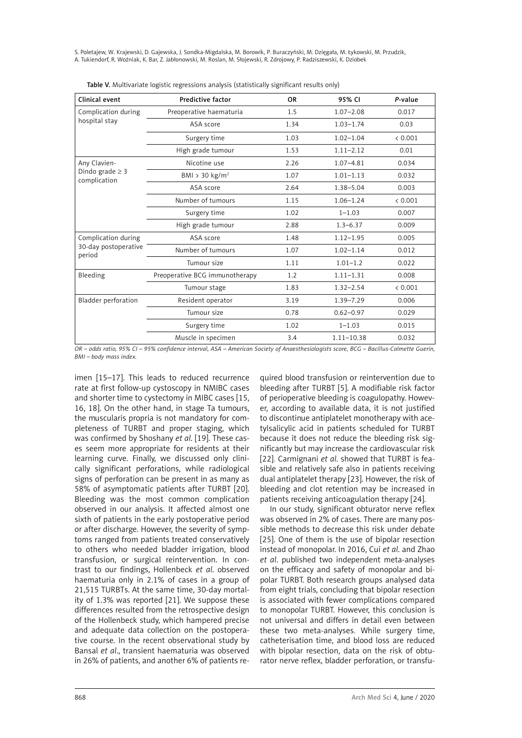S. Poletajew, W. Krajewski, D. Gajewska, J. Sondka-Migdalska, M. Borowik, P. Buraczyński, M. Dzięgała, M. Łykowski, M. Przudzik, A. Tukiendorf, R. Woźniak, K. Bar, Z. Jabłonowski, M. Roslan, M. Słojewski, R. Zdrojowy, P. Radziszewski, K. Dziobek

| Clinical event                                        | <b>Predictive factor</b>       | 0R   | 95% CI         | P-value |
|-------------------------------------------------------|--------------------------------|------|----------------|---------|
| Complication during                                   | Preoperative haematuria        | 1.5  | $1.07 - 2.08$  | 0.017   |
| hospital stay                                         | ASA score                      | 1.34 | $1.03 - 1.74$  | 0.03    |
|                                                       | Surgery time                   | 1.03 | $1.02 - 1.04$  | < 0.001 |
|                                                       | High grade tumour              | 1.53 | $1.11 - 2.12$  | 0.01    |
| Any Clavien-                                          | Nicotine use                   | 2.26 | $1.07 - 4.81$  | 0.034   |
| Dindo grade $\geq$ 3<br>complication                  | BMI > 30 kg/ $m2$              | 1.07 | $1.01 - 1.13$  | 0.032   |
|                                                       | ASA score                      | 2.64 | $1.38 - 5.04$  | 0.003   |
|                                                       | Number of tumours              | 1.15 | $1.06 - 1.24$  | < 0.001 |
|                                                       | Surgery time                   | 1.02 | $1 - 1.03$     | 0.007   |
|                                                       | High grade tumour              | 2.88 | $1.3 - 6.37$   | 0.009   |
| Complication during<br>30-day postoperative<br>period | ASA score                      | 1.48 | $1.12 - 1.95$  | 0.005   |
|                                                       | Number of tumours              | 1.07 | $1.02 - 1.14$  | 0.012   |
|                                                       | Tumour size                    | 1.11 | $1.01 - 1.2$   | 0.022   |
| Bleeding                                              | Preoperative BCG immunotherapy | 1.2  | $1.11 - 1.31$  | 0.008   |
|                                                       | Tumour stage                   | 1.83 | $1.32 - 2.54$  | & 0.001 |
| Bladder perforation                                   | Resident operator              | 3.19 | $1.39 - 7.29$  | 0.006   |
|                                                       | Tumour size                    | 0.78 | $0.62 - 0.97$  | 0.029   |
|                                                       | Surgery time                   | 1.02 | $1 - 1.03$     | 0.015   |
|                                                       | Muscle in specimen             | 3.4  | $1.11 - 10.38$ | 0.032   |

|  |  |  | Table V. Multivariate logistic regressions analysis (statistically significant results only) |
|--|--|--|----------------------------------------------------------------------------------------------|
|  |  |  |                                                                                              |

*OR – odds ratio, 95% CI – 95% confidence interval, ASA – American Society of Anaesthesiologists score, BCG – Bacillus-Calmette Guerin, BMI – body mass index.*

imen [15–17]. This leads to reduced recurrence rate at first follow-up cystoscopy in NMIBC cases and shorter time to cystectomy in MIBC cases [15, 16, 18]. On the other hand, in stage Ta tumours, the muscularis propria is not mandatory for completeness of TURBT and proper staging, which was confirmed by Shoshany *et al*. [19]. These cases seem more appropriate for residents at their learning curve. Finally, we discussed only clinically significant perforations, while radiological signs of perforation can be present in as many as 58% of asymptomatic patients after TURBT [20]. Bleeding was the most common complication observed in our analysis. It affected almost one sixth of patients in the early postoperative period or after discharge. However, the severity of symptoms ranged from patients treated conservatively to others who needed bladder irrigation, blood transfusion, or surgical reintervention. In contrast to our findings, Hollenbeck *et al*. observed haematuria only in 2.1% of cases in a group of 21,515 TURBTs. At the same time, 30-day mortality of 1.3% was reported [21]. We suppose these differences resulted from the retrospective design of the Hollenbeck study, which hampered precise and adequate data collection on the postoperative course. In the recent observational study by Bansal *et al*., transient haematuria was observed in 26% of patients, and another 6% of patients re-

quired blood transfusion or reintervention due to bleeding after TURBT [5]. A modifiable risk factor of perioperative bleeding is coagulopathy. However, according to available data, it is not justified to discontinue antiplatelet monotherapy with acetylsalicylic acid in patients scheduled for TURBT because it does not reduce the bleeding risk significantly but may increase the cardiovascular risk [22]. Carmignani *et al*. showed that TURBT is feasible and relatively safe also in patients receiving dual antiplatelet therapy [23]. However, the risk of bleeding and clot retention may be increased in patients receiving anticoagulation therapy [24].

In our study, significant obturator nerve reflex was observed in 2% of cases. There are many possible methods to decrease this risk under debate [25]. One of them is the use of bipolar resection instead of monopolar. In 2016, Cui *et al*. and Zhao *et al*. published two independent meta-analyses on the efficacy and safety of monopolar and bipolar TURBT. Both research groups analysed data from eight trials, concluding that bipolar resection is associated with fewer complications compared to monopolar TURBT. However, this conclusion is not universal and differs in detail even between these two meta-analyses. While surgery time, catheterisation time, and blood loss are reduced with bipolar resection, data on the risk of obturator nerve reflex, bladder perforation, or transfu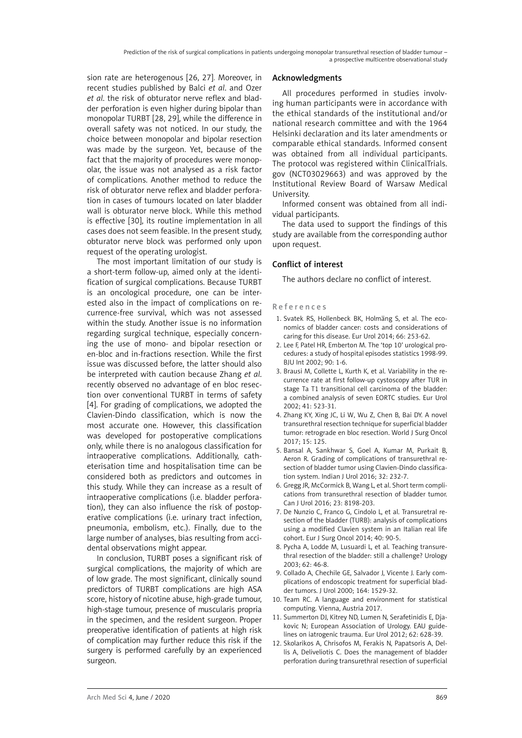sion rate are heterogenous [26, 27]. Moreover, in recent studies published by Balci *et al*. and Ozer *et al*. the risk of obturator nerve reflex and bladder perforation is even higher during bipolar than monopolar TURBT [28, 29], while the difference in overall safety was not noticed. In our study, the choice between monopolar and bipolar resection was made by the surgeon. Yet, because of the fact that the majority of procedures were monopolar, the issue was not analysed as a risk factor of complications. Another method to reduce the risk of obturator nerve reflex and bladder perforation in cases of tumours located on later bladder wall is obturator nerve block. While this method is effective [30], its routine implementation in all cases does not seem feasible. In the present study, obturator nerve block was performed only upon request of the operating urologist.

The most important limitation of our study is a short-term follow-up, aimed only at the identification of surgical complications. Because TURBT is an oncological procedure, one can be interested also in the impact of complications on recurrence-free survival, which was not assessed within the study. Another issue is no information regarding surgical technique, especially concerning the use of mono- and bipolar resection or en-bloc and in-fractions resection. While the first issue was discussed before, the latter should also be interpreted with caution because Zhang *et al*. recently observed no advantage of en bloc resection over conventional TURBT in terms of safety [4]. For grading of complications, we adopted the Clavien-Dindo classification, which is now the most accurate one. However, this classification was developed for postoperative complications only, while there is no analogous classification for intraoperative complications. Additionally, catheterisation time and hospitalisation time can be considered both as predictors and outcomes in this study. While they can increase as a result of intraoperative complications (i.e. bladder perforation), they can also influence the risk of postoperative complications (i.e. urinary tract infection, pneumonia, embolism, etc.). Finally, due to the large number of analyses, bias resulting from accidental observations might appear.

In conclusion, TURBT poses a significant risk of surgical complications, the majority of which are of low grade. The most significant, clinically sound predictors of TURBT complications are high ASA score, history of nicotine abuse, high-grade tumour, high-stage tumour, presence of muscularis propria in the specimen, and the resident surgeon. Proper preoperative identification of patients at high risk of complication may further reduce this risk if the surgery is performed carefully by an experienced surgeon.

#### Acknowledgments

All procedures performed in studies involving human participants were in accordance with the ethical standards of the institutional and/or national research committee and with the 1964 Helsinki declaration and its later amendments or comparable ethical standards. Informed consent was obtained from all individual participants. The protocol was registered within ClinicalTrials. gov (NCT03029663) and was approved by the Institutional Review Board of Warsaw Medical University.

Informed consent was obtained from all individual participants.

The data used to support the findings of this study are available from the corresponding author upon request.

# Conflict of interest

The authors declare no conflict of interest.

#### References

- 1. Svatek RS, Hollenbeck BK, Holmäng S, et al. The economics of bladder cancer: costs and considerations of caring for this disease. Eur Urol 2014; 66: 253-62.
- 2. Lee F, Patel HR, Emberton M. The 'top 10' urological procedures: a study of hospital episodes statistics 1998-99. BJU Int 2002; 90: 1-6.
- 3. Brausi M, Collette L, Kurth K, et al. Variability in the recurrence rate at first follow-up cystoscopy after TUR in stage Ta T1 transitional cell carcinoma of the bladder: a combined analysis of seven EORTC studies. Eur Urol 2002; 41: 523-31.
- 4. Zhang KY, Xing JC, Li W, Wu Z, Chen B, Bai DY. A novel transurethral resection technique for superficial bladder tumor: retrograde en bloc resection. World J Surg Oncol 2017; 15: 125.
- 5. Bansal A, Sankhwar S, Goel A, Kumar M, Purkait B, Aeron R. Grading of complications of transurethral resection of bladder tumor using Clavien-Dindo classification system. Indian J Urol 2016; 32: 232-7.
- 6. Gregg JR, McCormick B, Wang L, et al. Short term complications from transurethral resection of bladder tumor. Can J Urol 2016; 23: 8198-203.
- 7. De Nunzio C, Franco G, Cindolo L, et al. Transuretral resection of the bladder (TURB): analysis of complications using a modified Clavien system in an Italian real life cohort. Eur J Surg Oncol 2014; 40: 90-5.
- 8. Pycha A, Lodde M, Lusuardi L, et al. Teaching transurethral resection of the bladder: still a challenge? Urology 2003; 62: 46-8.
- 9. Collado A, Chechile GE, Salvador J, Vicente J. Early complications of endoscopic treatment for superficial bladder tumors. J Urol 2000; 164: 1529-32.
- 10. Team RC. A language and environment for statistical computing. Vienna, Austria 2017.
- 11. Summerton DJ, Kitrey ND, Lumen N, Serafetinidis E, Djakovic N; European Association of Urology. EAU guidelines on iatrogenic trauma. Eur Urol 2012; 62: 628-39.
- 12. Skolarikos A, Chrisofos M, Ferakis N, Papatsoris A, Dellis A, Deliveliotis C. Does the management of bladder perforation during transurethral resection of superficial